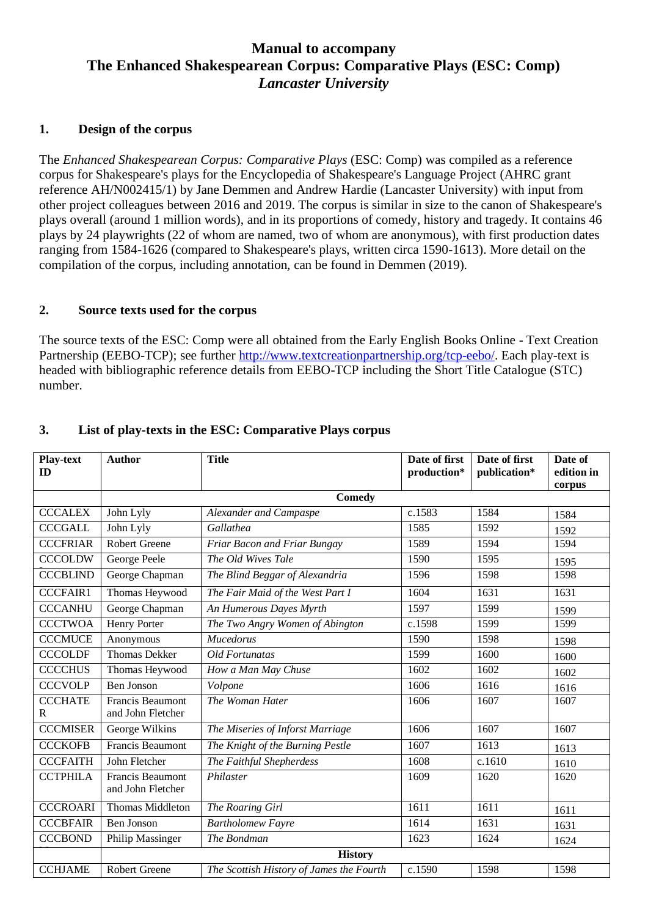# **Manual to accompany The Enhanced Shakespearean Corpus: Comparative Plays (ESC: Comp)** *Lancaster University*

### **1. Design of the corpus**

The *Enhanced Shakespearean Corpus: Comparative Plays* (ESC: Comp) was compiled as a reference corpus for Shakespeare's plays for the Encyclopedia of Shakespeare's Language Project (AHRC grant reference AH/N002415/1) by Jane Demmen and Andrew Hardie (Lancaster University) with input from other project colleagues between 2016 and 2019. The corpus is similar in size to the canon of Shakespeare's plays overall (around 1 million words), and in its proportions of comedy, history and tragedy. It contains 46 plays by 24 playwrights (22 of whom are named, two of whom are anonymous), with first production dates ranging from 1584-1626 (compared to Shakespeare's plays, written circa 1590-1613). More detail on the compilation of the corpus, including annotation, can be found in Demmen (2019).

#### **2. Source texts used for the corpus**

The source texts of the ESC: Comp were all obtained from the Early English Books Online - Text Creation Partnership (EEBO-TCP); see further [http://www.textcreationpartnership.org/tcp-eebo/.](http://www.textcreationpartnership.org/tcp-eebo/) Each play-text is headed with bibliographic reference details from EEBO-TCP including the Short Title Catalogue (STC) number.

| <b>Play-text</b><br>ID | <b>Author</b>                                | <b>Title</b>                             | Date of first<br>production* | Date of first<br>publication* | Date of<br>edition in<br>corpus |
|------------------------|----------------------------------------------|------------------------------------------|------------------------------|-------------------------------|---------------------------------|
|                        |                                              | <b>Comedy</b>                            |                              |                               |                                 |
| <b>CCCALEX</b>         | John Lyly                                    | Alexander and Campaspe                   | c.1583                       | 1584                          | 1584                            |
| <b>CCCGALL</b>         | John Lyly                                    | Gallathea                                | 1585                         | 1592                          | 1592                            |
| <b>CCCFRIAR</b>        | <b>Robert Greene</b>                         | Friar Bacon and Friar Bungay             | 1589                         | 1594                          | 1594                            |
| <b>CCCOLDW</b>         | George Peele                                 | The Old Wives Tale                       | 1590                         | 1595                          | 1595                            |
| <b>CCCBLIND</b>        | George Chapman                               | The Blind Beggar of Alexandria           | 1596                         | 1598                          | 1598                            |
| <b>CCCFAIR1</b>        | Thomas Heywood                               | The Fair Maid of the West Part I         | 1604                         | 1631                          | 1631                            |
| <b>CCCANHU</b>         | George Chapman                               | An Humerous Dayes Myrth                  | 1597                         | 1599                          | 1599                            |
| <b>CCCTWOA</b>         | Henry Porter                                 | The Two Angry Women of Abington          | c.1598                       | 1599                          | 1599                            |
| <b>CCCMUCE</b>         | Anonymous                                    | Mucedorus                                | 1590                         | 1598                          | 1598                            |
| <b>CCCOLDF</b>         | <b>Thomas Dekker</b>                         | Old Fortunatas                           | 1599                         | 1600                          | 1600                            |
| <b>CCCCHUS</b>         | Thomas Heywood                               | How a Man May Chuse                      | 1602                         | 1602                          | 1602                            |
| <b>CCCVOLP</b>         | Ben Jonson                                   | Volpone                                  | 1606                         | 1616                          | 1616                            |
| <b>CCCHATE</b><br>R    | <b>Francis Beaumont</b><br>and John Fletcher | The Woman Hater                          | 1606                         | 1607                          | 1607                            |
| <b>CCCMISER</b>        | George Wilkins                               | The Miseries of Inforst Marriage         | 1606                         | 1607                          | 1607                            |
| <b>CCCKOFB</b>         | <b>Francis Beaumont</b>                      | The Knight of the Burning Pestle         | 1607                         | 1613                          | 1613                            |
| <b>CCCFAITH</b>        | John Fletcher                                | The Faithful Shepherdess                 | 1608                         | c.1610                        | 1610                            |
| <b>CCTPHILA</b>        | <b>Francis Beaumont</b><br>and John Fletcher | Philaster                                | 1609                         | 1620                          | 1620                            |
| <b>CCCROARI</b>        | Thomas Middleton                             | The Roaring Girl                         | 1611                         | 1611                          | 1611                            |
| <b>CCCBFAIR</b>        | <b>Ben Jonson</b>                            | <b>Bartholomew Fayre</b>                 | 1614                         | 1631                          | 1631                            |
| <b>CCCBOND</b>         | Philip Massinger                             | The Bondman                              | 1623                         | 1624                          | 1624                            |
|                        | <b>History</b>                               |                                          |                              |                               |                                 |
| <b>CCHJAME</b>         | <b>Robert Greene</b>                         | The Scottish History of James the Fourth | c.1590                       | 1598                          | 1598                            |

# **3. List of play-texts in the ESC: Comparative Plays corpus**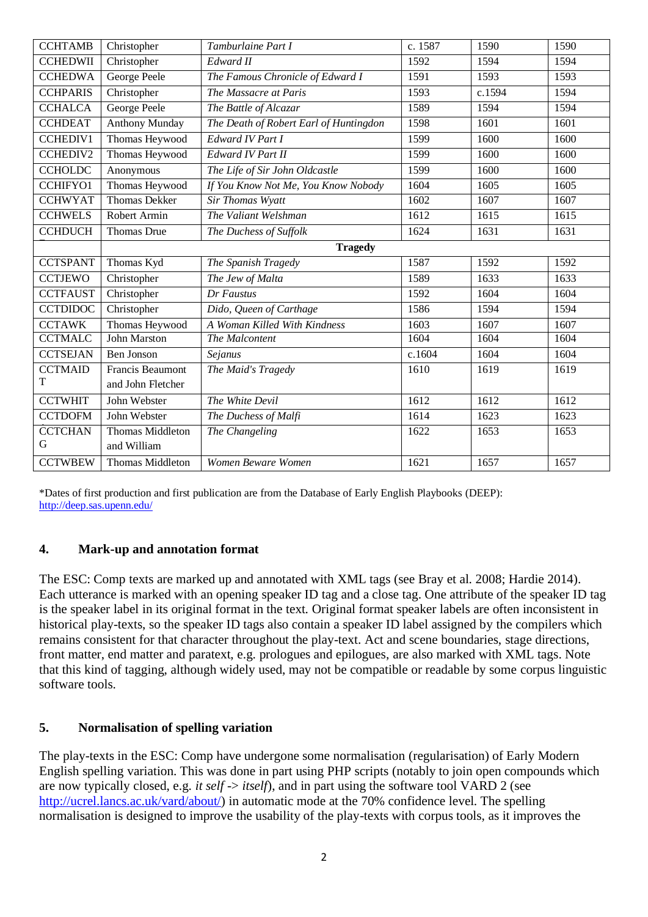| <b>CCHEDWII</b><br>Christopher<br>Edward II<br>1592<br>1594<br>1594<br><b>CCHEDWA</b><br>George Peele<br>The Famous Chronicle of Edward I<br>1591<br>1593<br>1593<br><b>CCHPARIS</b><br>Christopher<br>1593<br>The Massacre at Paris<br>c.1594<br>1594<br><b>CCHALCA</b><br>George Peele<br>1589<br>The Battle of Alcazar<br>1594<br>1594<br><b>Anthony Munday</b><br><b>CCHDEAT</b><br>The Death of Robert Earl of Huntingdon<br>1598<br>1601<br>1601<br><b>CCHEDIV1</b><br>Thomas Heywood<br>Edward IV Part I<br>1599<br>1600<br>1600<br>Thomas Heywood<br>1599<br><b>CCHEDIV2</b><br>Edward IV Part II<br>1600<br>1600<br>1599<br><b>CCHOLDC</b><br>The Life of Sir John Oldcastle<br>1600<br>1600<br>Anonymous<br>Thomas Heywood<br>1604<br><b>CCHIFYO1</b><br>If You Know Not Me, You Know Nobody<br>1605<br>1605<br><b>Thomas Dekker</b><br><b>CCHWYAT</b><br>Sir Thomas Wyatt<br>1602<br>1607<br>1607<br>The Valiant Welshman<br><b>CCHWELS</b><br>Robert Armin<br>1612<br>1615<br>1615<br><b>CCHDUCH</b><br>1624<br>Thomas Drue<br>The Duchess of Suffolk<br>1631<br>1631 |                |  |  |  |  |
|-----------------------------------------------------------------------------------------------------------------------------------------------------------------------------------------------------------------------------------------------------------------------------------------------------------------------------------------------------------------------------------------------------------------------------------------------------------------------------------------------------------------------------------------------------------------------------------------------------------------------------------------------------------------------------------------------------------------------------------------------------------------------------------------------------------------------------------------------------------------------------------------------------------------------------------------------------------------------------------------------------------------------------------------------------------------------------------|----------------|--|--|--|--|
|                                                                                                                                                                                                                                                                                                                                                                                                                                                                                                                                                                                                                                                                                                                                                                                                                                                                                                                                                                                                                                                                                   |                |  |  |  |  |
|                                                                                                                                                                                                                                                                                                                                                                                                                                                                                                                                                                                                                                                                                                                                                                                                                                                                                                                                                                                                                                                                                   |                |  |  |  |  |
|                                                                                                                                                                                                                                                                                                                                                                                                                                                                                                                                                                                                                                                                                                                                                                                                                                                                                                                                                                                                                                                                                   |                |  |  |  |  |
|                                                                                                                                                                                                                                                                                                                                                                                                                                                                                                                                                                                                                                                                                                                                                                                                                                                                                                                                                                                                                                                                                   |                |  |  |  |  |
|                                                                                                                                                                                                                                                                                                                                                                                                                                                                                                                                                                                                                                                                                                                                                                                                                                                                                                                                                                                                                                                                                   |                |  |  |  |  |
|                                                                                                                                                                                                                                                                                                                                                                                                                                                                                                                                                                                                                                                                                                                                                                                                                                                                                                                                                                                                                                                                                   |                |  |  |  |  |
|                                                                                                                                                                                                                                                                                                                                                                                                                                                                                                                                                                                                                                                                                                                                                                                                                                                                                                                                                                                                                                                                                   |                |  |  |  |  |
|                                                                                                                                                                                                                                                                                                                                                                                                                                                                                                                                                                                                                                                                                                                                                                                                                                                                                                                                                                                                                                                                                   |                |  |  |  |  |
|                                                                                                                                                                                                                                                                                                                                                                                                                                                                                                                                                                                                                                                                                                                                                                                                                                                                                                                                                                                                                                                                                   |                |  |  |  |  |
|                                                                                                                                                                                                                                                                                                                                                                                                                                                                                                                                                                                                                                                                                                                                                                                                                                                                                                                                                                                                                                                                                   |                |  |  |  |  |
|                                                                                                                                                                                                                                                                                                                                                                                                                                                                                                                                                                                                                                                                                                                                                                                                                                                                                                                                                                                                                                                                                   |                |  |  |  |  |
|                                                                                                                                                                                                                                                                                                                                                                                                                                                                                                                                                                                                                                                                                                                                                                                                                                                                                                                                                                                                                                                                                   |                |  |  |  |  |
|                                                                                                                                                                                                                                                                                                                                                                                                                                                                                                                                                                                                                                                                                                                                                                                                                                                                                                                                                                                                                                                                                   | <b>Tragedy</b> |  |  |  |  |
| <b>CCTSPANT</b><br>1587<br>Thomas Kyd<br>The Spanish Tragedy<br>1592<br>1592                                                                                                                                                                                                                                                                                                                                                                                                                                                                                                                                                                                                                                                                                                                                                                                                                                                                                                                                                                                                      |                |  |  |  |  |
| <b>CCTJEWO</b><br>Christopher<br>The Jew of Malta<br>1589<br>1633<br>1633                                                                                                                                                                                                                                                                                                                                                                                                                                                                                                                                                                                                                                                                                                                                                                                                                                                                                                                                                                                                         |                |  |  |  |  |
| Christopher<br><b>CCTFAUST</b><br>Dr Faustus<br>1592<br>1604<br>1604                                                                                                                                                                                                                                                                                                                                                                                                                                                                                                                                                                                                                                                                                                                                                                                                                                                                                                                                                                                                              |                |  |  |  |  |
| <b>CCTDIDOC</b><br>Christopher<br>Dido, Queen of Carthage<br>1586<br>1594<br>1594                                                                                                                                                                                                                                                                                                                                                                                                                                                                                                                                                                                                                                                                                                                                                                                                                                                                                                                                                                                                 |                |  |  |  |  |
| Thomas Heywood<br>A Woman Killed With Kindness<br><b>CCTAWK</b><br>1603<br>1607<br>1607                                                                                                                                                                                                                                                                                                                                                                                                                                                                                                                                                                                                                                                                                                                                                                                                                                                                                                                                                                                           |                |  |  |  |  |
| <b>CCTMALC</b><br>John Marston<br>1604<br>1604<br>1604<br>The Malcontent                                                                                                                                                                                                                                                                                                                                                                                                                                                                                                                                                                                                                                                                                                                                                                                                                                                                                                                                                                                                          |                |  |  |  |  |
| <b>CCTSEJAN</b><br>c.1604<br>1604<br>1604<br>Ben Jonson<br>Sejanus                                                                                                                                                                                                                                                                                                                                                                                                                                                                                                                                                                                                                                                                                                                                                                                                                                                                                                                                                                                                                |                |  |  |  |  |
| <b>CCTMAID</b><br>Francis Beaumont<br>1619<br>The Maid's Tragedy<br>1610<br>1619                                                                                                                                                                                                                                                                                                                                                                                                                                                                                                                                                                                                                                                                                                                                                                                                                                                                                                                                                                                                  |                |  |  |  |  |
| т<br>and John Fletcher                                                                                                                                                                                                                                                                                                                                                                                                                                                                                                                                                                                                                                                                                                                                                                                                                                                                                                                                                                                                                                                            |                |  |  |  |  |
| <b>CCTWHIT</b><br>1612<br>John Webster<br>The White Devil<br>1612<br>1612                                                                                                                                                                                                                                                                                                                                                                                                                                                                                                                                                                                                                                                                                                                                                                                                                                                                                                                                                                                                         |                |  |  |  |  |
| <b>CCTDOFM</b><br>The Duchess of Malfi<br>1614<br>John Webster<br>1623<br>1623                                                                                                                                                                                                                                                                                                                                                                                                                                                                                                                                                                                                                                                                                                                                                                                                                                                                                                                                                                                                    |                |  |  |  |  |
| <b>CCTCHAN</b><br>Thomas Middleton<br>The Changeling<br>1622<br>1653<br>1653                                                                                                                                                                                                                                                                                                                                                                                                                                                                                                                                                                                                                                                                                                                                                                                                                                                                                                                                                                                                      |                |  |  |  |  |
| G<br>and William                                                                                                                                                                                                                                                                                                                                                                                                                                                                                                                                                                                                                                                                                                                                                                                                                                                                                                                                                                                                                                                                  |                |  |  |  |  |
| <b>CCTWBEW</b><br>1621<br>1657<br>Thomas Middleton<br>Women Beware Women<br>1657                                                                                                                                                                                                                                                                                                                                                                                                                                                                                                                                                                                                                                                                                                                                                                                                                                                                                                                                                                                                  |                |  |  |  |  |

\*Dates of first production and first publication are from the Database of Early English Playbooks (DEEP): <http://deep.sas.upenn.edu/>

# **4. Mark-up and annotation format**

The ESC: Comp texts are marked up and annotated with XML tags (see Bray et al. 2008; Hardie 2014). Each utterance is marked with an opening speaker ID tag and a close tag. One attribute of the speaker ID tag is the speaker label in its original format in the text. Original format speaker labels are often inconsistent in historical play-texts, so the speaker ID tags also contain a speaker ID label assigned by the compilers which remains consistent for that character throughout the play-text. Act and scene boundaries, stage directions, front matter, end matter and paratext, e.g. prologues and epilogues, are also marked with XML tags. Note that this kind of tagging, although widely used, may not be compatible or readable by some corpus linguistic software tools.

# **5. Normalisation of spelling variation**

The play-texts in the ESC: Comp have undergone some normalisation (regularisation) of Early Modern English spelling variation. This was done in part using PHP scripts (notably to join open compounds which are now typically closed, e.g. *it self* -> *itself*), and in part using the software tool VARD 2 (see [http://ucrel.lancs.ac.uk/vard/about/\)](http://ucrel.lancs.ac.uk/vard/about/) in automatic mode at the 70% confidence level. The spelling normalisation is designed to improve the usability of the play-texts with corpus tools, as it improves the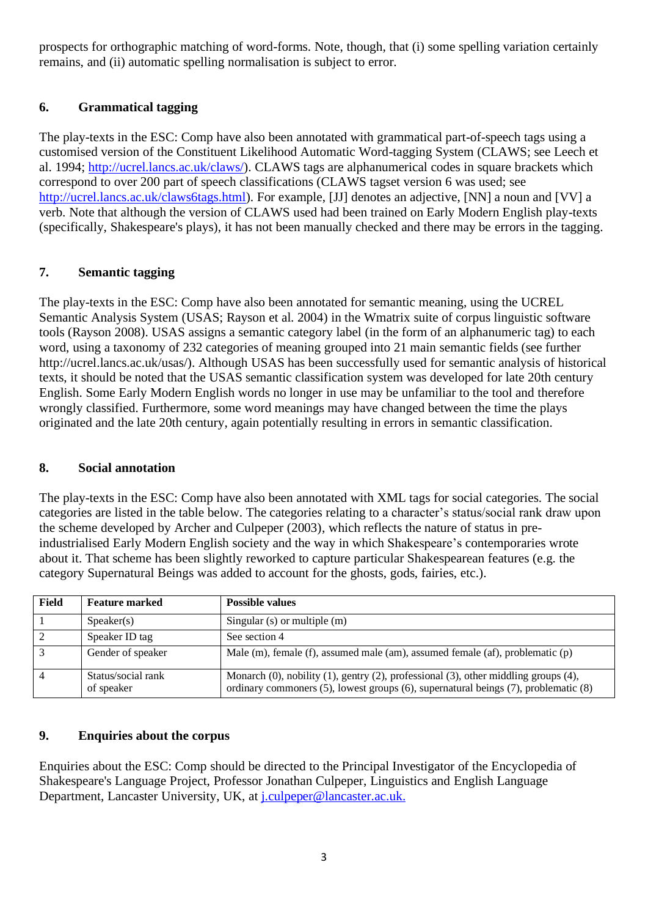prospects for orthographic matching of word-forms. Note, though, that (i) some spelling variation certainly remains, and (ii) automatic spelling normalisation is subject to error.

# **6. Grammatical tagging**

The play-texts in the ESC: Comp have also been annotated with grammatical part-of-speech tags using a customised version of the Constituent Likelihood Automatic Word-tagging System (CLAWS; see Leech et al. 1994; [http://ucrel.lancs.ac.uk/claws/\)](http://ucrel.lancs.ac.uk/claws/). CLAWS tags are alphanumerical codes in square brackets which correspond to over 200 part of speech classifications (CLAWS tagset version 6 was used; see [http://ucrel.lancs.ac.uk/claws6tags.html\)](http://ucrel.lancs.ac.uk/claws6tags.html). For example, [JJ] denotes an adjective, [NN] a noun and [VV] a verb. Note that although the version of CLAWS used had been trained on Early Modern English play-texts (specifically, Shakespeare's plays), it has not been manually checked and there may be errors in the tagging.

# **7. Semantic tagging**

The play-texts in the ESC: Comp have also been annotated for semantic meaning, using the UCREL Semantic Analysis System (USAS; Rayson et al. 2004) in the Wmatrix suite of corpus linguistic software tools (Rayson 2008). USAS assigns a semantic category label (in the form of an alphanumeric tag) to each word, using a taxonomy of 232 categories of meaning grouped into 21 main semantic fields (see further http://ucrel.lancs.ac.uk/usas/). Although USAS has been successfully used for semantic analysis of historical texts, it should be noted that the USAS semantic classification system was developed for late 20th century English. Some Early Modern English words no longer in use may be unfamiliar to the tool and therefore wrongly classified. Furthermore, some word meanings may have changed between the time the plays originated and the late 20th century, again potentially resulting in errors in semantic classification.

# **8. Social annotation**

The play-texts in the ESC: Comp have also been annotated with XML tags for social categories. The social categories are listed in the table below. The categories relating to a character's status/social rank draw upon the scheme developed by Archer and Culpeper (2003), which reflects the nature of status in preindustrialised Early Modern English society and the way in which Shakespeare's contemporaries wrote about it. That scheme has been slightly reworked to capture particular Shakespearean features (e.g. the category Supernatural Beings was added to account for the ghosts, gods, fairies, etc.).

| Field | <b>Feature marked</b>            | <b>Possible values</b>                                                                                                                                                     |
|-------|----------------------------------|----------------------------------------------------------------------------------------------------------------------------------------------------------------------------|
|       | S <sub>peaker(s)</sub>           | Singular (s) or multiple (m)                                                                                                                                               |
|       | Speaker ID tag                   | See section 4                                                                                                                                                              |
|       | Gender of speaker                | Male (m), female (f), assumed male (am), assumed female (af), problematic (p)                                                                                              |
|       | Status/social rank<br>of speaker | Monarch (0), nobility (1), gentry (2), professional (3), other middling groups (4),<br>ordinary commoners (5), lowest groups (6), supernatural beings (7), problematic (8) |

# **9. Enquiries about the corpus**

Enquiries about the ESC: Comp should be directed to the Principal Investigator of the Encyclopedia of Shakespeare's Language Project, Professor Jonathan Culpeper, Linguistics and English Language Department, Lancaster University, UK, at [j.culpeper@lancaster.ac.uk.](mailto:j.culpeper@lancaster.ac.uk)